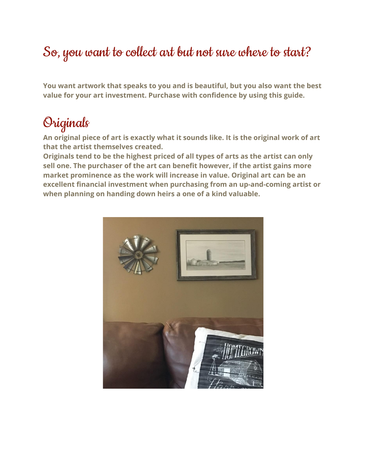## So, you want to collect art but not sure where to start?

**You want artwork that speaks to you and is beautiful, but you also want the best value for your art investment. Purchase with confidence by using this guide.**

### Originals

**An original piece of art is exactly what it sounds like. It is the original work of art that the artist themselves created.**

**Originals tend to be the highest priced of all types of arts as the artist can only sell one. The purchaser of the art can benefit however, if the artist gains more market prominence as the work will increase in value. Original art can be an excellent financial investment when purchasing from an up-and-coming artist or when planning on handing down heirs a one of a kind valuable.**

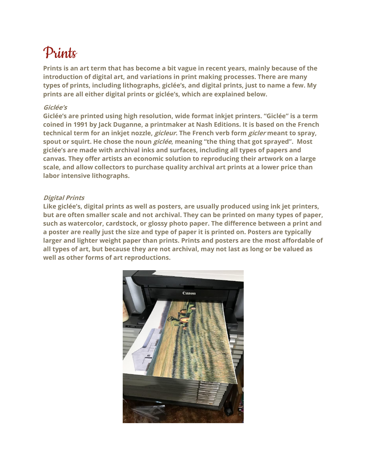# Prints

**Prints is an art term that has become a bit vague in recent years, mainly because of the introduction of digital art, and variations in print making processes. There are many types of prints, including lithographs, giclée's, and digital prints, just to name a few. My prints are all either digital prints or giclée's, which are explained below.**

### **Giclée's**

**Giclée's are printed using high resolution, wide format inkjet printers. "Giclée" is a term coined in 1991 by Jack Duganne, a printmaker at Nash Editions. It is based on the French technical term for an inkjet nozzle, gicleur. The French verb form gicler meant to spray, spout or squirt. He chose the noun giclée, meaning "the thing that got sprayed". Most giclée's are made with archival inks and surfaces, including all types of papers and canvas. They offer artists an economic solution to reproducing their artwork on a large scale, and allow collectors to purchase quality archival art prints at a lower price than labor intensive lithographs.**

#### **Digital Prints**

**Like giclée's, digital prints as well as posters, are usually produced using ink jet printers, but are often smaller scale and not archival. They can be printed on many types of paper, such as watercolor, cardstock, or glossy photo paper. The difference between a print and a poster are really just the size and type of paper it is printed on. Posters are typically larger and lighter weight paper than prints. Prints and posters are the most affordable of all types of art, but because they are not archival, may not last as long or be valued as well as other forms of art reproductions.**